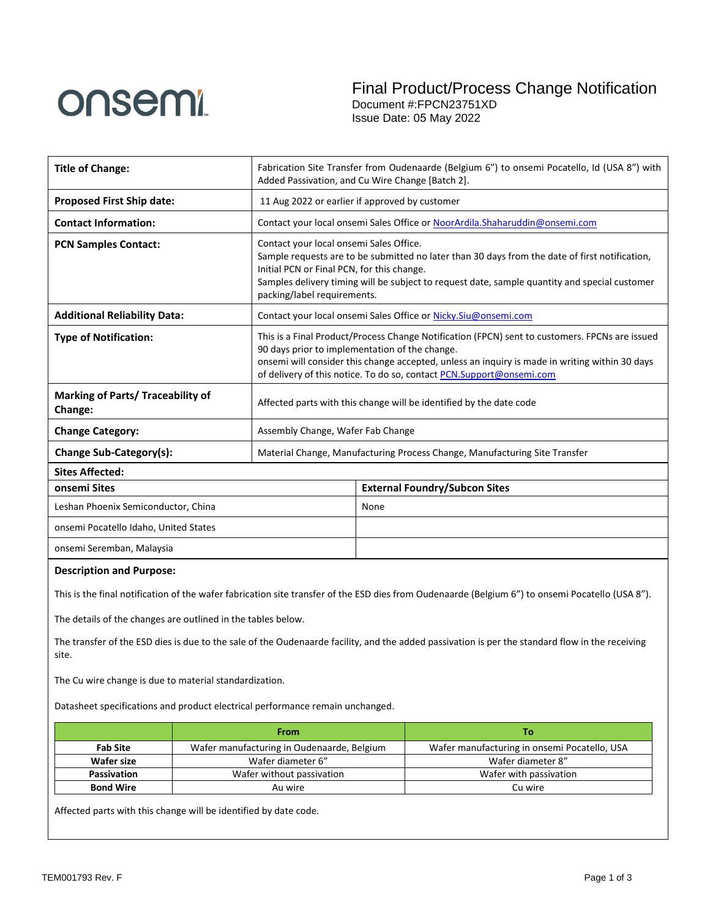

Final Product/Process Change Notification Document #:FPCN23751XD

Issue Date: 05 May 2022

| <b>Title of Change:</b>                                                                                                                                  | Fabrication Site Transfer from Oudenaarde (Belgium 6") to onsemi Pocatello, Id (USA 8") with<br>Added Passivation, and Cu Wire Change [Batch 2].                                                                                                                                                                           |                                                                             |  |  |
|----------------------------------------------------------------------------------------------------------------------------------------------------------|----------------------------------------------------------------------------------------------------------------------------------------------------------------------------------------------------------------------------------------------------------------------------------------------------------------------------|-----------------------------------------------------------------------------|--|--|
| <b>Proposed First Ship date:</b>                                                                                                                         | 11 Aug 2022 or earlier if approved by customer                                                                                                                                                                                                                                                                             |                                                                             |  |  |
| <b>Contact Information:</b>                                                                                                                              |                                                                                                                                                                                                                                                                                                                            | Contact your local onsemi Sales Office or NoorArdila.Shaharuddin@onsemi.com |  |  |
| <b>PCN Samples Contact:</b>                                                                                                                              | Contact your local onsemi Sales Office.<br>Sample requests are to be submitted no later than 30 days from the date of first notification,<br>Initial PCN or Final PCN, for this change.<br>Samples delivery timing will be subject to request date, sample quantity and special customer<br>packing/label requirements.    |                                                                             |  |  |
| <b>Additional Reliability Data:</b>                                                                                                                      |                                                                                                                                                                                                                                                                                                                            | Contact your local onsemi Sales Office or Nicky. Siu@onsemi.com             |  |  |
| <b>Type of Notification:</b>                                                                                                                             | This is a Final Product/Process Change Notification (FPCN) sent to customers. FPCNs are issued<br>90 days prior to implementation of the change.<br>onsemi will consider this change accepted, unless an inquiry is made in writing within 30 days<br>of delivery of this notice. To do so, contact PCN.Support@onsemi.com |                                                                             |  |  |
| Marking of Parts/ Traceability of<br>Change:                                                                                                             | Affected parts with this change will be identified by the date code                                                                                                                                                                                                                                                        |                                                                             |  |  |
| <b>Change Category:</b>                                                                                                                                  | Assembly Change, Wafer Fab Change                                                                                                                                                                                                                                                                                          |                                                                             |  |  |
| Change Sub-Category(s):                                                                                                                                  | Material Change, Manufacturing Process Change, Manufacturing Site Transfer                                                                                                                                                                                                                                                 |                                                                             |  |  |
| <b>Sites Affected:</b>                                                                                                                                   |                                                                                                                                                                                                                                                                                                                            |                                                                             |  |  |
| onsemi Sites                                                                                                                                             |                                                                                                                                                                                                                                                                                                                            | <b>External Foundry/Subcon Sites</b>                                        |  |  |
| Leshan Phoenix Semiconductor, China                                                                                                                      |                                                                                                                                                                                                                                                                                                                            | None                                                                        |  |  |
| onsemi Pocatello Idaho, United States                                                                                                                    |                                                                                                                                                                                                                                                                                                                            |                                                                             |  |  |
| onsemi Seremban, Malaysia                                                                                                                                |                                                                                                                                                                                                                                                                                                                            |                                                                             |  |  |
| <b>Description and Purpose:</b>                                                                                                                          |                                                                                                                                                                                                                                                                                                                            |                                                                             |  |  |
| This is the final notification of the wafer fabrication site transfer of the ESD dies from Oudenaarde (Belgium 6") to onsemi Pocatello (USA 8").         |                                                                                                                                                                                                                                                                                                                            |                                                                             |  |  |
| The details of the changes are outlined in the tables below.                                                                                             |                                                                                                                                                                                                                                                                                                                            |                                                                             |  |  |
| The transfer of the ESD dies is due to the sale of the Oudenaarde facility, and the added passivation is per the standard flow in the receiving<br>site. |                                                                                                                                                                                                                                                                                                                            |                                                                             |  |  |

The Cu wire change is due to material standardization.

Datasheet specifications and product electrical performance remain unchanged.

|                                                 | <b>From</b>                                                                                | Тο                     |  |
|-------------------------------------------------|--------------------------------------------------------------------------------------------|------------------------|--|
| <b>Fab Site</b>                                 | Wafer manufacturing in Oudenaarde, Belgium<br>Wafer manufacturing in onsemi Pocatello, USA |                        |  |
| Wafer size<br>Wafer diameter 6"                 |                                                                                            | Wafer diameter 8"      |  |
| <b>Passivation</b><br>Wafer without passivation |                                                                                            | Wafer with passivation |  |
| <b>Bond Wire</b>                                | Au wire                                                                                    | Cu wire                |  |

Affected parts with this change will be identified by date code.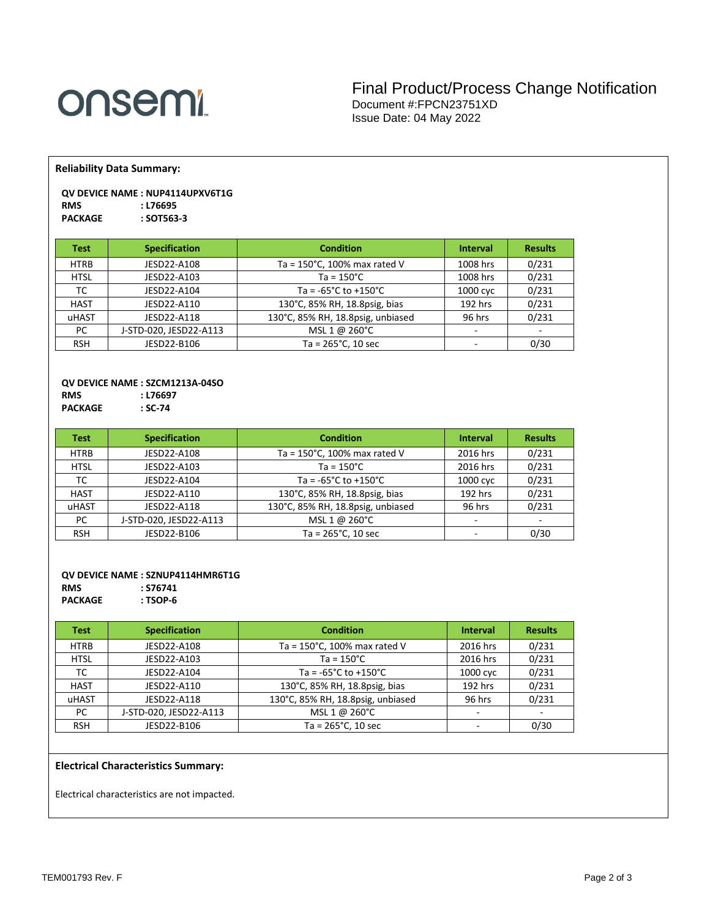# **onsemi**

### Final Product/Process Change Notification Document #:FPCN23751XD Issue Date: 04 May 2022

**Reliability Data Summary:**

#### **QV DEVICE NAME : NUP4114UPXV6T1G RMS : L76695**  $PACKAGE$

| Test        | <b>Specification</b>   | <b>Condition</b>                         | <b>Interval</b>          | <b>Results</b> |
|-------------|------------------------|------------------------------------------|--------------------------|----------------|
| <b>HTRB</b> | JESD22-A108            | Ta = $150^{\circ}$ C, 100% max rated V   | 1008 hrs                 | 0/231          |
| <b>HTSL</b> | JESD22-A103            | $Ta = 150^{\circ}C$                      | 1008 hrs                 | 0/231          |
| ТC          | JESD22-A104            | Ta = $-65^{\circ}$ C to $+150^{\circ}$ C | 1000 cyc                 | 0/231          |
| <b>HAST</b> | JESD22-A110            | 130°C, 85% RH, 18.8psig, bias            | 192 hrs                  | 0/231          |
| uHAST       | JESD22-A118            | 130°C, 85% RH, 18.8psig, unbiased        | 96 hrs                   | 0/231          |
| PC          | J-STD-020, JESD22-A113 | MSL 1 @ 260°C                            | $\overline{\phantom{a}}$ |                |
| <b>RSH</b>  | JESD22-B106            | Ta = $265^{\circ}$ C, 10 sec             | -                        | 0/30           |

## **QV DEVICE NAME : SZCM1213A-04SO**

**RMS : L76697 PACKAGE** 

| <b>Test</b> | <b>Specification</b>   | <b>Condition</b>                         | <b>Interval</b> | <b>Results</b> |
|-------------|------------------------|------------------------------------------|-----------------|----------------|
| <b>HTRB</b> | JESD22-A108            | Ta = $150^{\circ}$ C, 100% max rated V   | 2016 hrs        | 0/231          |
| <b>HTSL</b> | JESD22-A103            | $Ta = 150^{\circ}C$                      | 2016 hrs        | 0/231          |
| тс          | JESD22-A104            | Ta = $-65^{\circ}$ C to $+150^{\circ}$ C | 1000 cyc        | 0/231          |
| <b>HAST</b> | JESD22-A110            | 130°C, 85% RH, 18.8psig, bias            | 192 hrs         | 0/231          |
| uHAST       | JESD22-A118            | 130°C, 85% RH, 18.8psig, unbiased        | 96 hrs          | 0/231          |
| PC.         | J-STD-020, JESD22-A113 | MSL 1 @ 260°C                            |                 |                |
| <b>RSH</b>  | JESD22-B106            | Ta = $265^{\circ}$ C, 10 sec             | -               | 0/30           |

#### **QV DEVICE NAME : SZNUP4114HMR6T1G**

**RMS : S76741**  $PACKAGE$ 

| Test        | <b>Specification</b>   | <b>Condition</b>                         | <b>Interval</b>          | <b>Results</b> |
|-------------|------------------------|------------------------------------------|--------------------------|----------------|
| <b>HTRB</b> | JESD22-A108            | Ta = 150°C, 100% max rated V             | 2016 hrs                 | 0/231          |
| <b>HTSL</b> | JESD22-A103            | $Ta = 150^{\circ}C$                      | 2016 hrs                 | 0/231          |
| ТC          | JESD22-A104            | Ta = $-65^{\circ}$ C to $+150^{\circ}$ C | 1000 cyc                 | 0/231          |
| <b>HAST</b> | JESD22-A110            | 130°C, 85% RH, 18.8psig, bias            | 192 hrs                  | 0/231          |
| uHAST       | JESD22-A118            | 130°C, 85% RH, 18.8psig, unbiased        | 96 hrs                   | 0/231          |
| PC.         | J-STD-020, JESD22-A113 | MSL 1 @ 260°C                            |                          |                |
| <b>RSH</b>  | JESD22-B106            | Ta = $265^{\circ}$ C, 10 sec             | $\overline{\phantom{a}}$ | 0/30           |

#### **Electrical Characteristics Summary:**

Electrical characteristics are not impacted.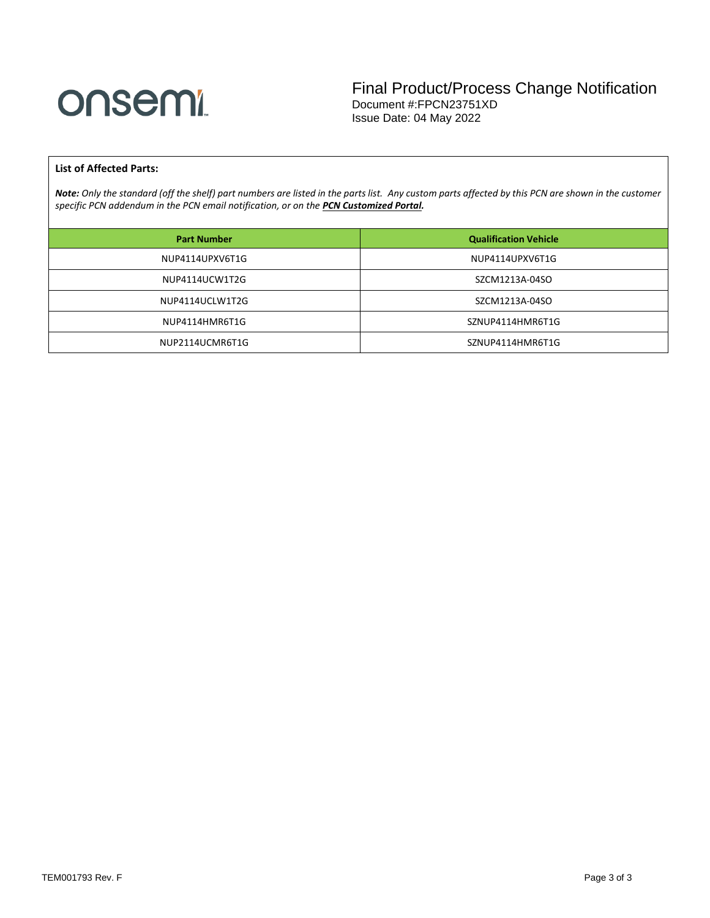

#### **List of Affected Parts:**

*Note: Only the standard (off the shelf) part numbers are listed in the parts list. Any custom parts affected by this PCN are shown in the customer specific PCN addendum in the PCN email notification, or on the [PCN Customized Portal.](https://www.onsemi.com/PowerSolutions/pcn.do)*

| <b>Part Number</b> | <b>Qualification Vehicle</b> |
|--------------------|------------------------------|
| NUP4114UPXV6T1G    | NUP4114UPXV6T1G              |
| NUP4114UCW1T2G     | SZCM1213A-04SO               |
| NUP4114UCLW1T2G    | SZCM1213A-04SO               |
| NUP4114HMR6T1G     | SZNUP4114HMR6T1G             |
| NUP2114UCMR6T1G    | SZNUP4114HMR6T1G             |